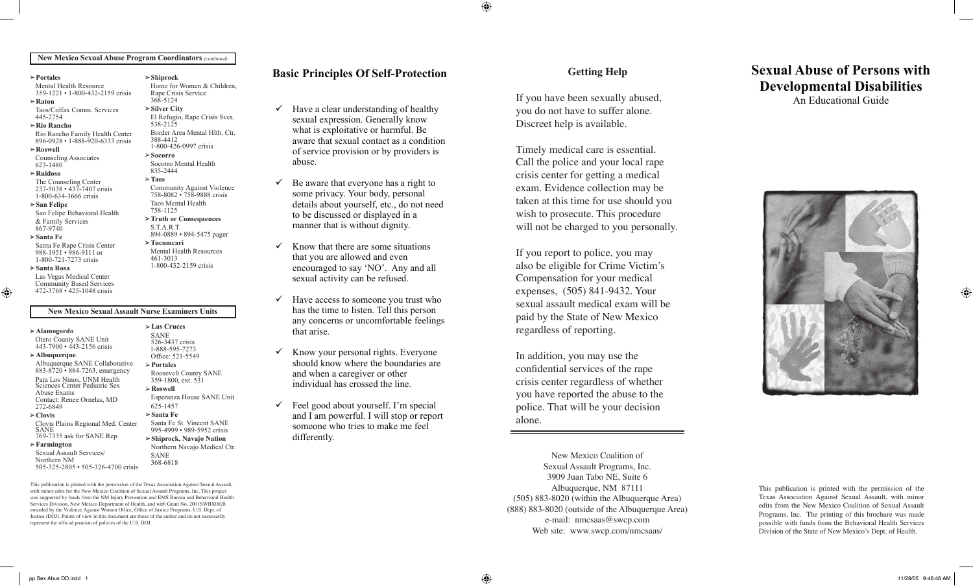⊕

#### **New Mexico Sexual Abuse Program Coordinators** *(continued)*

**Shiprock**

538-2125

388-4412

**Socorro** 

835-2444 **Taos**

S.T.A.R.T.

**Tucumcari**

461-3013 1-800-432-2159 crisis

Home for Women & Children, Rape Crisis Service 368-5124 **Silver City**

El Refugio, Rape Crisis Svcs.

Border Area Mental Hlth. Ctr.

Community Against Violence 758-8082 • 758-9888 crisis Taos Mental Health 758-1125

1-800-426-0997 crisis

Socorro Mental Health

**Truth or Consequences**

894-0889 • 894-5475 pager

Mental Health Resources

| $\triangleright$ Portales |  |
|---------------------------|--|
|---------------------------|--|

Mental Health Resource 359-1221 • 1-800-432-2159 crisis

**Raton** Taos/Colfax Comm. Services

445-2754

**Rio Rancho**

Rio Rancho Family Health Center896-0928 • 1-888-920-6333 crisis

**Roswell**  Counseling Associates

623-1480

**Ruidoso**

The Counseling Center 237-5038 • 437-7407 crisis 1-800-634-3666 crisis

**San Felipe**

San Felipe Behavioral Health

& Family Services 867-9740

#### **Santa Fe**

Santa Fe Rape Crisis Center 988-1951 • 986-9111 or 1-800-721-7273 crisis

#### **Santa Rosa**

⊕

Las Vegas Medical Center Community Based Services 472-3768 • 425-1048 crisis

#### **New Mexico Sexual Assault Nurse Examiners Units**

**Las Cruces** SANE 526-3437 crisis 1-888-595-7273 Office: 521-5549 **Portales**

**Roswell**

SANE 368-6818

625-1457 **Santa Fe**

Roosevelt County SANE 359-1800, ext. 531

Esperanza House SANE Unit

Santa Fe St. Vincent SANE 995-4999 • 989-5952 crisis **Shiprock, Navajo Nation** Northern Navajo Medical Ctr.

**Alamogordo**

Otero County SANE Unit 443-7900 • 443-2156 crisis **Albuquerque** 

Albuquerque SANE Collaborative 883-8720 • 884-7263, emergency Para Los Ninos, UNM Health Sciences Center Pediatric Sex **Contact: Renee Ornelas, MD** 272-6849 **Clovis**

Clovis Plains Regional Med. Center SANE<br>769-7335 ask for SANE Rep.

**Farmington** Sexual Assault Services/ Northern NM

505-325-2805 • 505-326-4700 crisis

This publication is printed with the permission of the Texas Association Against Sexual Assault, with minor edits for the New Mexico Coalition of Sexual Assault Programs. Inc. This project was supported by funds from the NM Injury Prevention and EMS Bureau and Behavioral Health Services Division, New Mexico Department of Health, and with Grant No. 2001SWBX0028 awarded by the Violence Against Women Office, Office of Justice Programs, U.S. Dept. of Justice (DOJ). Points of view in this document are those of the author and do not necessarily represent the official position of policies of the U.S. DOJ.

## Basic Principles Of Self-Protection

- $\checkmark$  Have a clear understanding of healthy sexual expression. Generally know what is exploitative or harmful. Be aware that sexual contact as a condition<br>of service provision or by providers is of service provision or by providers is abuse.  $\ddot{\mathbf{c}}$ . aware that sexual contact as a condition abuse.  $\frac{1}{2}$  be able.
- to be displayed or displayed in a set of the displayed in a set of the displayed in a set of the displayed in  $\checkmark$  Be aware that everyone has a right to details about yourself, etc., do not need to be discussed or displayed in a manner that is without dignity. some privacy. Your body, personal  $\mathcal{L}$  that there are some situations in the some situations in the situations of  $\mathcal{L}$ 
	- that you are allowed and even encouraged to say 'NO'. Any and all sexual activity can be refused. that arise.  $\checkmark$  Know that there are some situations
- have access to someone you trust who has the time to listen. Tell this person should know where the boundaries are any concerns or uncomfortable feelings  $divi$  $\checkmark$  Have access to someone you trust who that arise.  $\mathcal{H} = \mathcal{H} \times \mathcal{H}$  and  $\mathcal{H} = \mathcal{H} \times \mathcal{H}$  and  $\mathcal{H} = \mathcal{H} \times \mathcal{H}$ Have access to some to you trust w
- $\checkmark$  Know your personal rights. Everyone should know where the boundaries are and when a caregiver or other individual has crossed the line.  $\sqrt{K}$  know  $\sqrt{K}$ Know your personal rights. Everyone
- $\checkmark$  Feel good about yourself. I'm special and I am powerful. I will stop or report and I am powerful. I will stop or report someone who tries to make me feel someone who tries to make me feel differently. differently.

#### Getting Help welling the p

If you have been sexually abused, you do not have to suffer alone. Discreet help is available.

Timely medical care is essential. Call the police and your local rape crisis center for getting a medical exam. Evidence collection may be taken at this time for use should you wish to prosecute. This procedure will not be charged to you personally. *and this is only possible if you consider yourself deserving of emotional*  will not be charged to you personally. **procedure** <sup>3</sup> you personally.

If you report to police, you may also be eligible for Crime Victim's Compensation for your medical **expenses,** (505) 841-9432. Your sexual assault medical exam will be paid by the State of New Mexico regardless of reporting. sexual assault medical exam will be regardies: ou <u>i</u>n  $432.10$ ul **W** Mexico 392-0966 for adolescents

In addition, you may use the confidential services of the rape **EXECUTE: CONFIDENTIAL SET VICES** OF the Tape you have reported the abuse to the police. That will be your decision alone. sexual Assault Programs, Inc. Assault Programs, Inc. Assault Programs, Inc. Associations of the United States In addition, you may use the confidential services of the rape **Property** Counter Space Tepo  $\frac{1}{8}$  **Plant**  $\frac{1}{8}$ police. That will be your decision 769-2345 • 1-800-432-2159 **1-888-595-7273 n** Number to the 647-2800 • 526-3371 crisis

New Mexico Coalition of Sexual Assault Programs, Inc. 3909 Juan Tabo, NE, Suite 6 Albuquerque, NM 87111 Albuquerque, NM 87111 Albuquerque, NM 87111 **Los Lunas**  $(505) 883-8020$  (within the Albuquerque Area) (888) 883-8020 (outside of the Albuquerque Area) (888) 883-8020 (outside of the Albuquerque Area) (888) 883-8020 (outside of the Albuquerque Area) e-mail: nmcsaas@swcp.com e-mail: nmcsaas@swcp.com e-mail: nmcsaas@swcp.com Web site: www.swcp.com/nmcsaas/ Web site: www.swcp.com/nmcsaas/ Web site: www.swcp.com/nmcsaas/  $\frac{1}{2}$  $\gamma$  rams, Inc.

Albuquerque, NM 87111

**Las Vegas**

# **Sexual Abuse of Persons with** Developmental Disabilities

An Educational Guide **������ ���������������������� ��������������������������**



This publication is printed with the permission of the Texas Association Against Sexual Assault, with minor edits from the New Mexico Coalition of Sexual Assault Programs, Inc. The printing of this brochure was made possible with funds from the Behavioral Health Services Division of the State of New Mexico's Dept. of Health.

⊕

**Deming**